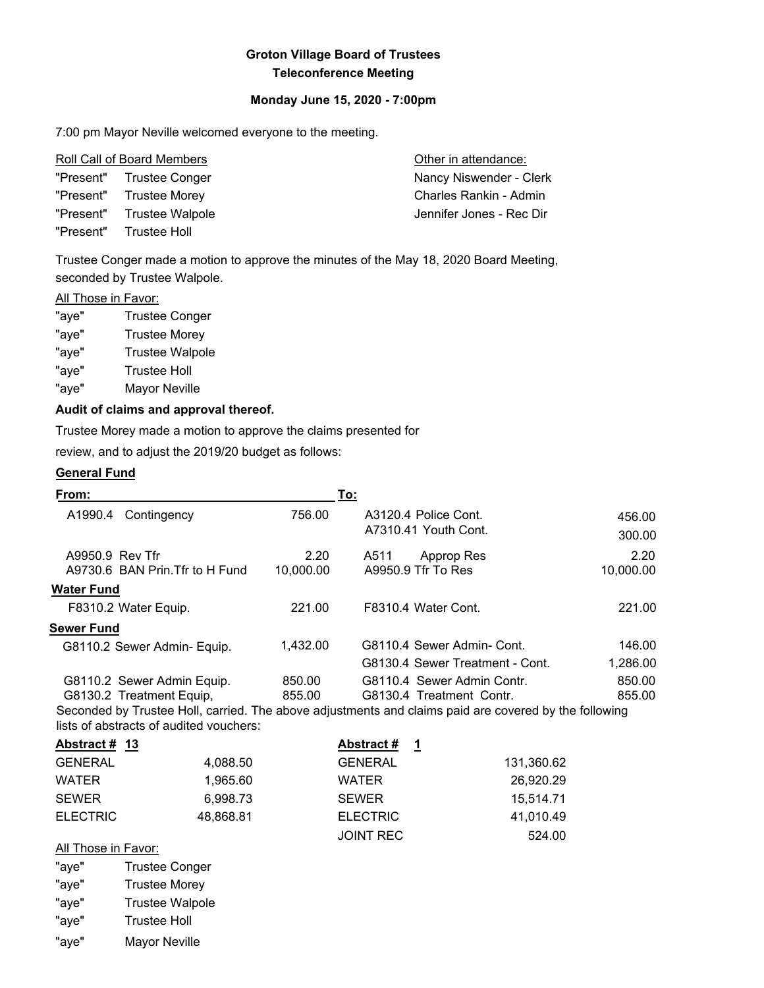# **Groton Village Board of Trustees Teleconference Meeting**

## **Monday June 15, 2020 - 7:00pm**

7:00 pm Mayor Neville welcomed everyone to the meeting.

| Roll Call of Board Members |                           | Other in attendance:     |  |
|----------------------------|---------------------------|--------------------------|--|
|                            | "Present" Trustee Conger  | Nancy Niswender - Clerk  |  |
|                            | "Present" Trustee Morey   | Charles Rankin - Admin   |  |
|                            | "Present" Trustee Walpole | Jennifer Jones - Rec Dir |  |
|                            | "Present" Trustee Holl    |                          |  |

Trustee Conger made a motion to approve the minutes of the May 18, 2020 Board Meeting, seconded by Trustee Walpole.

#### **All Those in Favor:**

| "aye" | <b>Trustee Conger</b>  |
|-------|------------------------|
| "aye" | <b>Trustee Morey</b>   |
| "aye" | <b>Trustee Walpole</b> |
| "aye" | <b>Trustee Holl</b>    |
| "aye" | Mayor Neville          |
|       |                        |

## **Audit of claims and approval thereof.**

Trustee Morey made a motion to approve the claims presented for

review, and to adjust the 2019/20 budget as follows:

# **General Fund**

| From:                |                                         |                   | To:            |                                                                                                       |                   |
|----------------------|-----------------------------------------|-------------------|----------------|-------------------------------------------------------------------------------------------------------|-------------------|
| A1990.4              | Contingency                             | 756.00            |                | A3120.4 Police Cont.<br>A7310.41 Youth Cont.                                                          | 456.00<br>300.00  |
| A9950.9 Rev Tfr      | A9730.6 BAN Prin. Tfr to H Fund         | 2.20<br>10,000.00 | A511           | Approp Res<br>A9950.9 Tfr To Res                                                                      | 2.20<br>10,000.00 |
| <b>Water Fund</b>    |                                         |                   |                |                                                                                                       |                   |
|                      | F8310.2 Water Equip.                    | 221.00            |                | F8310.4 Water Cont.                                                                                   | 221.00            |
| <b>Sewer Fund</b>    |                                         |                   |                |                                                                                                       |                   |
|                      | G8110.2 Sewer Admin- Equip.             | 1,432.00          |                | G8110.4 Sewer Admin- Cont.                                                                            | 146.00            |
|                      |                                         |                   |                | G8130.4 Sewer Treatment - Cont.                                                                       | 1,286.00          |
|                      | G8110.2 Sewer Admin Equip.              | 850.00            |                | G8110.4 Sewer Admin Contr.                                                                            | 850.00            |
|                      | G8130.2 Treatment Equip,                | 855.00            |                | G8130.4 Treatment Contr.                                                                              | 855.00            |
|                      | lists of abstracts of audited vouchers: |                   |                | Seconded by Trustee Holl, carried. The above adjustments and claims paid are covered by the following |                   |
| <u>Abstract # 13</u> |                                         |                   | Abstract #     | $\mathbf 1$                                                                                           |                   |
| <b>GENERAL</b>       | 4,088.50                                |                   | <b>GENERAL</b> | 131,360.62                                                                                            |                   |
| <b>WATER</b>         | 1,965.60                                |                   | <b>WATER</b>   | 26,920.29                                                                                             |                   |
| <b>SEWER</b>         | 6,998.73                                |                   | <b>SEWER</b>   | 15,514.71                                                                                             |                   |

JOINT REC 524.00

ELECTRIC 48,868.81 ELECTRIC 41,010.49

## All Those in Favor:

"aye" Trustee Conger

- "aye" Trustee Morey
- "aye" Trustee Walpole
- "aye" Trustee Holl
- "aye" Mayor Neville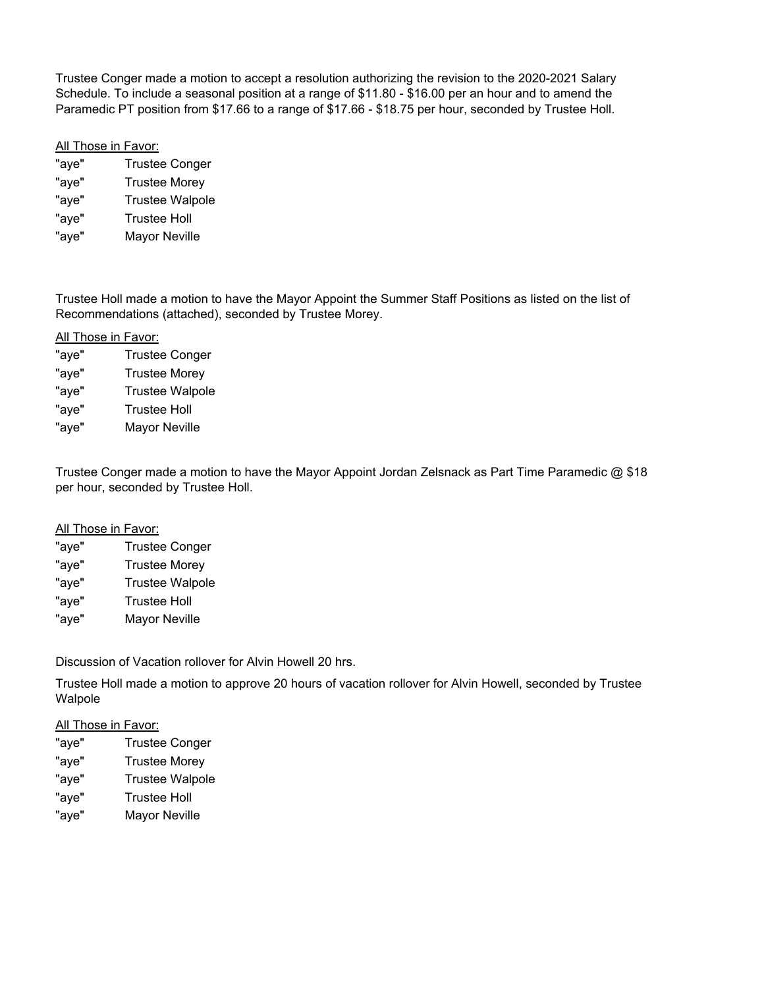Trustee Conger made a motion to accept a resolution authorizing the revision to the 2020-2021 Salary Schedule. To include a seasonal position at a range of \$11.80 - \$16.00 per an hour and to amend the Paramedic PT position from \$17.66 to a range of \$17.66 - \$18.75 per hour, seconded by Trustee Holl.

## All Those in Favor:

"aye" Trustee Conger "aye" Trustee Morey "aye" Trustee Walpole "aye" Trustee Holl "aye" Mayor Neville

Trustee Holl made a motion to have the Mayor Appoint the Summer Staff Positions as listed on the list of Recommendations (attached), seconded by Trustee Morey.

### All Those in Favor:

| "aye" | <b>Trustee Conger</b>  |
|-------|------------------------|
| "aye" | <b>Trustee Morey</b>   |
| "aye" | <b>Trustee Walpole</b> |
| "aye" | <b>Trustee Holl</b>    |
| "aye" | Mayor Neville          |
|       |                        |

Trustee Conger made a motion to have the Mayor Appoint Jordan Zelsnack as Part Time Paramedic @ \$18 per hour, seconded by Trustee Holl.

#### All Those in Favor:

| "aye" | <b>Trustee Conger</b>  |
|-------|------------------------|
| "aye" | <b>Trustee Morey</b>   |
| "aye" | <b>Trustee Walpole</b> |
| "aye" | <b>Trustee Holl</b>    |
| "aye" | <b>Mayor Neville</b>   |
|       |                        |

Discussion of Vacation rollover for Alvin Howell 20 hrs.

Trustee Holl made a motion to approve 20 hours of vacation rollover for Alvin Howell, seconded by Trustee Walpole

#### All Those in Favor:

| "aye" | <b>Trustee Conger</b>  |
|-------|------------------------|
| "aye" | <b>Trustee Morey</b>   |
| "aye" | <b>Trustee Walpole</b> |
| "aye" | <b>Trustee Holl</b>    |
| "aye" | Mayor Neville          |
|       |                        |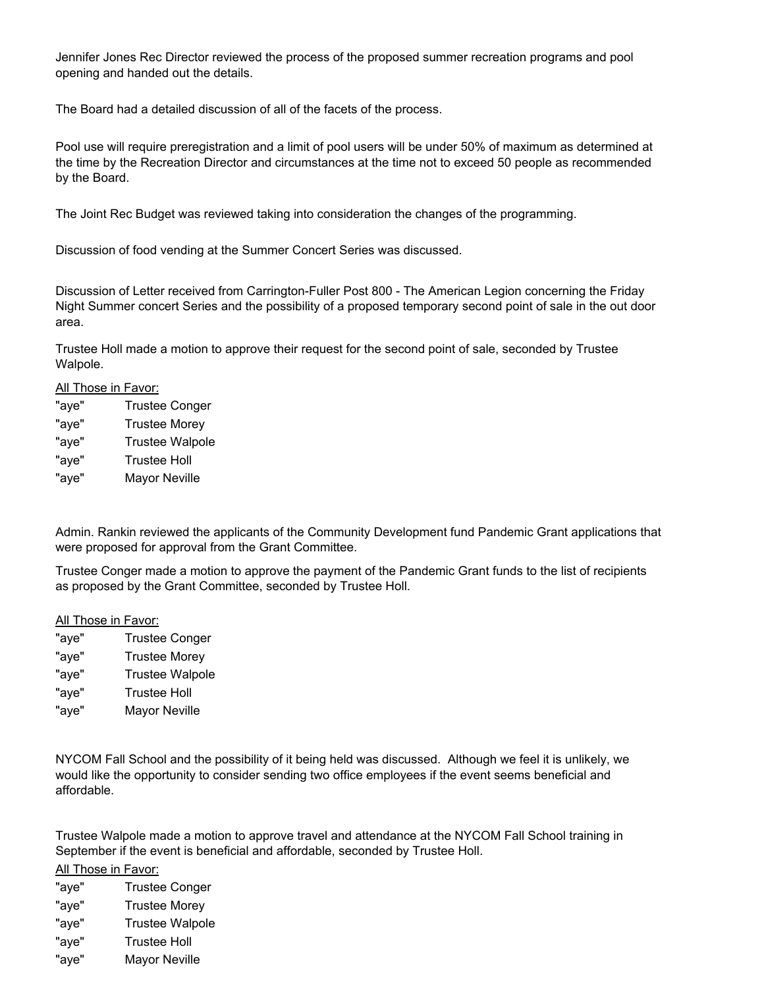Jennifer Jones Rec Director reviewed the process of the proposed summer recreation programs and pool opening and handed out the details.

The Board had a detailed discussion of all of the facets of the process.

Pool use will require preregistration and a limit of pool users will be under 50% of maximum as determined at the time by the Recreation Director and circumstances at the time not to exceed 50 people as recommended by the Board.

The Joint Rec Budget was reviewed taking into consideration the changes of the programming.

Discussion of food vending at the Summer Concert Series was discussed.

Discussion of Letter received from Carrington-Fuller Post 800 - The American Legion concerning the Friday Night Summer concert Series and the possibility of a proposed temporary second point of sale in the out door area.

Trustee Holl made a motion to approve their request for the second point of sale, seconded by Trustee Walpole.

#### All Those in Favor:

| <b>Trustee Conger</b>  |
|------------------------|
| <b>Trustee Morey</b>   |
| <b>Trustee Walpole</b> |
| <b>Trustee Holl</b>    |
| <b>Mayor Neville</b>   |
|                        |

Admin. Rankin reviewed the applicants of the Community Development fund Pandemic Grant applications that were proposed for approval from the Grant Committee.

Trustee Conger made a motion to approve the payment of the Pandemic Grant funds to the list of recipients as proposed by the Grant Committee, seconded by Trustee Holl.

#### All Those in Favor:

"aye" Trustee Conger "aye" Trustee Morey "aye" Trustee Walpole "aye" Trustee Holl "aye" Mayor Neville

NYCOM Fall School and the possibility of it being held was discussed. Although we feel it is unlikely, we would like the opportunity to consider sending two office employees if the event seems beneficial and affordable.

Trustee Walpole made a motion to approve travel and attendance at the NYCOM Fall School training in September if the event is beneficial and affordable, seconded by Trustee Holl.

All Those in Favor:

"aye" Trustee Conger "aye" Trustee Morey "aye" Trustee Walpole "aye" Trustee Holl "aye" Mayor Neville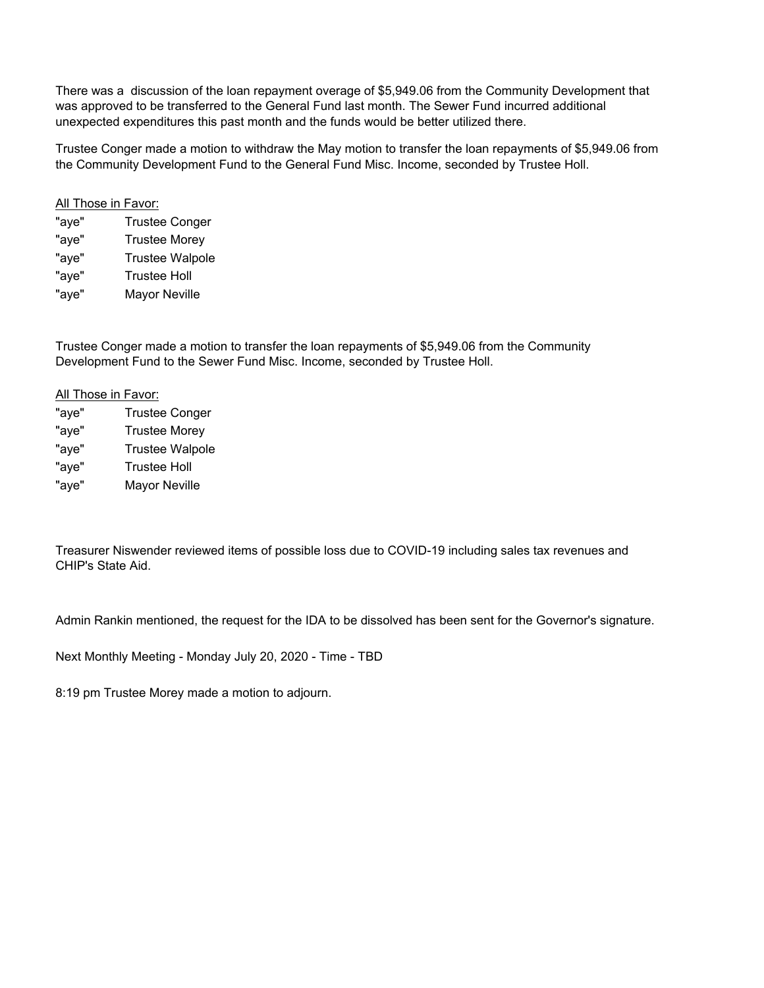There was a discussion of the loan repayment overage of \$5,949.06 from the Community Development that was approved to be transferred to the General Fund last month. The Sewer Fund incurred additional unexpected expenditures this past month and the funds would be better utilized there.

Trustee Conger made a motion to withdraw the May motion to transfer the loan repayments of \$5,949.06 from the Community Development Fund to the General Fund Misc. Income, seconded by Trustee Holl.

# All Those in Favor:

| "aye" | <b>Trustee Conger</b>  |
|-------|------------------------|
| "aye" | <b>Trustee Morey</b>   |
| "aye" | <b>Trustee Walpole</b> |
| "aye" | <b>Trustee Holl</b>    |
| "aye" | <b>Mayor Neville</b>   |

Trustee Conger made a motion to transfer the loan repayments of \$5,949.06 from the Community Development Fund to the Sewer Fund Misc. Income, seconded by Trustee Holl.

# All Those in Favor:

| "aye" | <b>Trustee Conger</b>  |
|-------|------------------------|
| "aye" | <b>Trustee Morey</b>   |
| "aye" | <b>Trustee Walpole</b> |
| "aye" | <b>Trustee Holl</b>    |
| "aye" | <b>Mayor Neville</b>   |

Treasurer Niswender reviewed items of possible loss due to COVID-19 including sales tax revenues and CHIP's State Aid.

Admin Rankin mentioned, the request for the IDA to be dissolved has been sent for the Governor's signature.

Next Monthly Meeting - Monday July 20, 2020 - Time - TBD

8:19 pm Trustee Morey made a motion to adjourn.